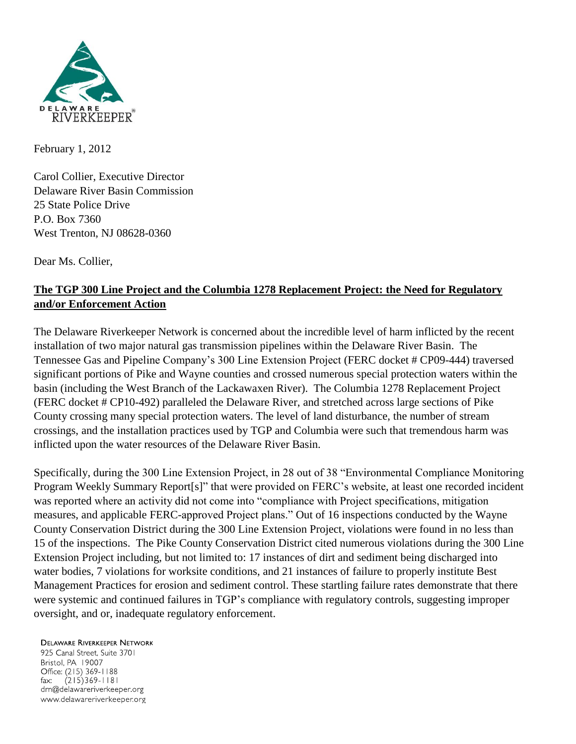

February 1, 2012

Carol Collier, Executive Director Delaware River Basin Commission 25 State Police Drive P.O. Box 7360 West Trenton, NJ 08628-0360

Dear Ms. Collier,

## **The TGP 300 Line Project and the Columbia 1278 Replacement Project: the Need for Regulatory and/or Enforcement Action**

The Delaware Riverkeeper Network is concerned about the incredible level of harm inflicted by the recent installation of two major natural gas transmission pipelines within the Delaware River Basin. The Tennessee Gas and Pipeline Company's 300 Line Extension Project (FERC docket # CP09-444) traversed significant portions of Pike and Wayne counties and crossed numerous special protection waters within the basin (including the West Branch of the Lackawaxen River). The Columbia 1278 Replacement Project (FERC docket # CP10-492) paralleled the Delaware River, and stretched across large sections of Pike County crossing many special protection waters. The level of land disturbance, the number of stream crossings, and the installation practices used by TGP and Columbia were such that tremendous harm was inflicted upon the water resources of the Delaware River Basin.

Specifically, during the 300 Line Extension Project, in 28 out of 38 "Environmental Compliance Monitoring Program Weekly Summary Report[s]" that were provided on FERC's website, at least one recorded incident was reported where an activity did not come into "compliance with Project specifications, mitigation measures, and applicable FERC-approved Project plans." Out of 16 inspections conducted by the Wayne County Conservation District during the 300 Line Extension Project, violations were found in no less than 15 of the inspections. The Pike County Conservation District cited numerous violations during the 300 Line Extension Project including, but not limited to: 17 instances of dirt and sediment being discharged into water bodies, 7 violations for worksite conditions, and 21 instances of failure to properly institute Best Management Practices for erosion and sediment control. These startling failure rates demonstrate that there were systemic and continued failures in TGP's compliance with regulatory controls, suggesting improper oversight, and or, inadequate regulatory enforcement.

**DELAWARE RIVERKEEPER NETWORK** 

925 Canal Street, Suite 3701 Bristol, PA 19007 Office: (215) 369-1188 fax:  $(215)369 - 1181$ drn@delawareriverkeeper.org www.delawareriverkeeper.org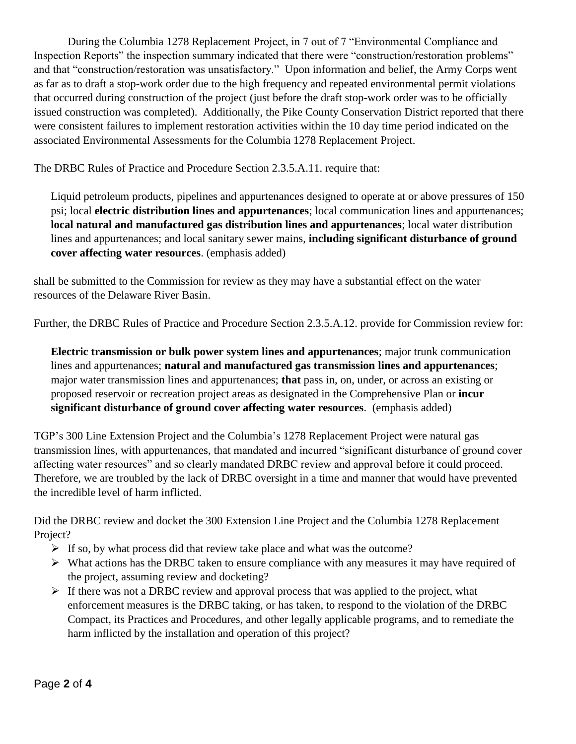During the Columbia 1278 Replacement Project, in 7 out of 7 "Environmental Compliance and Inspection Reports" the inspection summary indicated that there were "construction/restoration problems" and that "construction/restoration was unsatisfactory." Upon information and belief, the Army Corps went as far as to draft a stop-work order due to the high frequency and repeated environmental permit violations that occurred during construction of the project (just before the draft stop-work order was to be officially issued construction was completed). Additionally, the Pike County Conservation District reported that there were consistent failures to implement restoration activities within the 10 day time period indicated on the associated Environmental Assessments for the Columbia 1278 Replacement Project.

The DRBC Rules of Practice and Procedure Section 2.3.5.A.11. require that:

Liquid petroleum products, pipelines and appurtenances designed to operate at or above pressures of 150 psi; local **electric distribution lines and appurtenances**; local communication lines and appurtenances; **local natural and manufactured gas distribution lines and appurtenances**; local water distribution lines and appurtenances; and local sanitary sewer mains, **including significant disturbance of ground cover affecting water resources**. (emphasis added)

shall be submitted to the Commission for review as they may have a substantial effect on the water resources of the Delaware River Basin.

Further, the DRBC Rules of Practice and Procedure Section 2.3.5.A.12. provide for Commission review for:

**Electric transmission or bulk power system lines and appurtenances**; major trunk communication lines and appurtenances; **natural and manufactured gas transmission lines and appurtenances**; major water transmission lines and appurtenances; **that** pass in, on, under, or across an existing or proposed reservoir or recreation project areas as designated in the Comprehensive Plan or **incur significant disturbance of ground cover affecting water resources**. (emphasis added)

TGP's 300 Line Extension Project and the Columbia's 1278 Replacement Project were natural gas transmission lines, with appurtenances, that mandated and incurred "significant disturbance of ground cover affecting water resources" and so clearly mandated DRBC review and approval before it could proceed. Therefore, we are troubled by the lack of DRBC oversight in a time and manner that would have prevented the incredible level of harm inflicted.

Did the DRBC review and docket the 300 Extension Line Project and the Columbia 1278 Replacement Project?

- $\triangleright$  If so, by what process did that review take place and what was the outcome?
- $\triangleright$  What actions has the DRBC taken to ensure compliance with any measures it may have required of the project, assuming review and docketing?
- $\triangleright$  If there was not a DRBC review and approval process that was applied to the project, what enforcement measures is the DRBC taking, or has taken, to respond to the violation of the DRBC Compact, its Practices and Procedures, and other legally applicable programs, and to remediate the harm inflicted by the installation and operation of this project?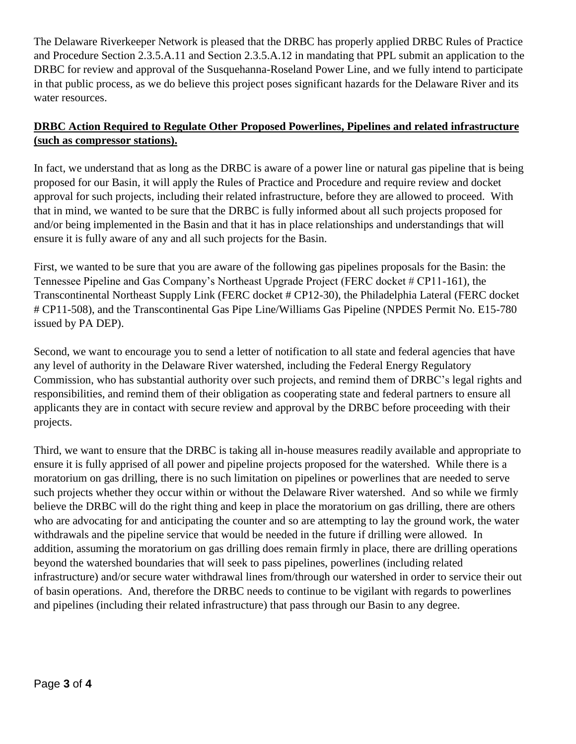The Delaware Riverkeeper Network is pleased that the DRBC has properly applied DRBC Rules of Practice and Procedure Section 2.3.5.A.11 and Section 2.3.5.A.12 in mandating that PPL submit an application to the DRBC for review and approval of the Susquehanna-Roseland Power Line, and we fully intend to participate in that public process, as we do believe this project poses significant hazards for the Delaware River and its water resources.

## **DRBC Action Required to Regulate Other Proposed Powerlines, Pipelines and related infrastructure (such as compressor stations).**

In fact, we understand that as long as the DRBC is aware of a power line or natural gas pipeline that is being proposed for our Basin, it will apply the Rules of Practice and Procedure and require review and docket approval for such projects, including their related infrastructure, before they are allowed to proceed. With that in mind, we wanted to be sure that the DRBC is fully informed about all such projects proposed for and/or being implemented in the Basin and that it has in place relationships and understandings that will ensure it is fully aware of any and all such projects for the Basin.

First, we wanted to be sure that you are aware of the following gas pipelines proposals for the Basin: the Tennessee Pipeline and Gas Company's Northeast Upgrade Project (FERC docket # CP11-161), the Transcontinental Northeast Supply Link (FERC docket # CP12-30), the Philadelphia Lateral (FERC docket # CP11-508), and the Transcontinental Gas Pipe Line/Williams Gas Pipeline (NPDES Permit No. E15-780 issued by PA DEP).

Second, we want to encourage you to send a letter of notification to all state and federal agencies that have any level of authority in the Delaware River watershed, including the Federal Energy Regulatory Commission, who has substantial authority over such projects, and remind them of DRBC's legal rights and responsibilities, and remind them of their obligation as cooperating state and federal partners to ensure all applicants they are in contact with secure review and approval by the DRBC before proceeding with their projects.

Third, we want to ensure that the DRBC is taking all in-house measures readily available and appropriate to ensure it is fully apprised of all power and pipeline projects proposed for the watershed. While there is a moratorium on gas drilling, there is no such limitation on pipelines or powerlines that are needed to serve such projects whether they occur within or without the Delaware River watershed. And so while we firmly believe the DRBC will do the right thing and keep in place the moratorium on gas drilling, there are others who are advocating for and anticipating the counter and so are attempting to lay the ground work, the water withdrawals and the pipeline service that would be needed in the future if drilling were allowed. In addition, assuming the moratorium on gas drilling does remain firmly in place, there are drilling operations beyond the watershed boundaries that will seek to pass pipelines, powerlines (including related infrastructure) and/or secure water withdrawal lines from/through our watershed in order to service their out of basin operations. And, therefore the DRBC needs to continue to be vigilant with regards to powerlines and pipelines (including their related infrastructure) that pass through our Basin to any degree.